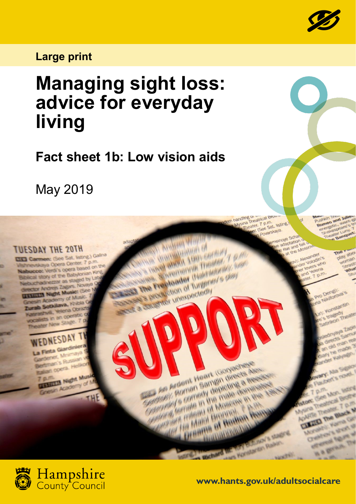

## **Large print**

## **Managing sight loss: advice for everyday living**

**Fact sheet 1b: Low vision aids**

May 2019

**TUESDAY THE 20TH** 

Carmen: (See Sat. listing.) Galina skaya Opera Center. 7 p.m. kaya Opera Center. I put<br>se Verdi's opera based on the story of the Babylor

**Manufacturer (1999)**<br>September 1999 (1999)<br>The Michaelo Journalist **Handal Andrew Community Community** Pretbader (National) The Freeholden of Turgerer's Jo See Secretary mexicoder (National Secretary) **SECRET The President of Turbott** 

> Roman Sample units de Comedy depicting the third of the comedy depicting a first Company of Meaning Fremment of Monogy in Malel Hennett Town

**Extragally of Months** 

Malel Brennellen Ren

**Andrea** Villa

em handling of atrical Browner<br>A Mysina Theatrical Browner<br>Theater: (See Sat.

Jing Dieatrical Browner<br>ina Theater. 7 p.m.<br>Theater. 7 p.m.<br>**Theater.** (See Sat. listing.) See Sat. no.



**www.hants.gov.uk/adultsocialcare**

**ACAFTER CULTURAL THE**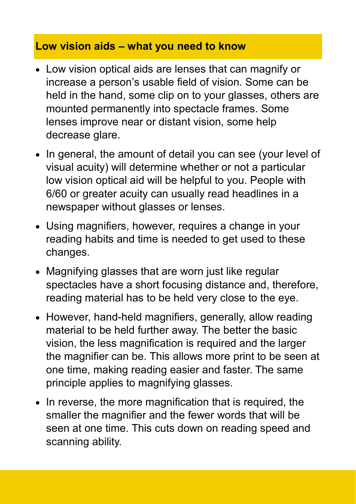## **Low vision aids – what you need to know**

- Low vision optical aids are lenses that can magnify or increase a person's usable field of vision. Some can be held in the hand, some clip on to your glasses, others are mounted permanently into spectacle frames. Some lenses improve near or distant vision, some help decrease glare.
- In general, the amount of detail you can see (your level of visual acuity) will determine whether or not a particular low vision optical aid will be helpful to you. People with 6/60 or greater acuity can usually read headlines in a newspaper without glasses or lenses.
- Using magnifiers, however, requires a change in your reading habits and time is needed to get used to these changes.
- Magnifying glasses that are worn just like regular spectacles have a short focusing distance and, therefore, reading material has to be held very close to the eye.
- However, hand-held magnifiers, generally, allow reading material to be held further away. The better the basic vision, the less magnification is required and the larger the magnifier can be. This allows more print to be seen at one time, making reading easier and faster. The same principle applies to magnifying glasses.
- In reverse, the more magnification that is required, the smaller the magnifier and the fewer words that will be seen at one time. This cuts down on reading speed and scanning ability.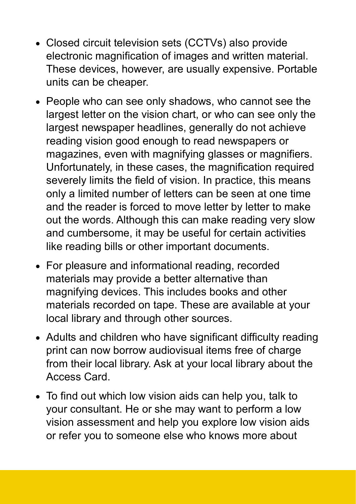- Closed circuit television sets (CCTVs) also provide electronic magnification of images and written material. These devices, however, are usually expensive. Portable units can be cheaper.
- People who can see only shadows, who cannot see the largest letter on the vision chart, or who can see only the largest newspaper headlines, generally do not achieve reading vision good enough to read newspapers or magazines, even with magnifying glasses or magnifiers. Unfortunately, in these cases, the magnification required severely limits the field of vision. In practice, this means only a limited number of letters can be seen at one time and the reader is forced to move letter by letter to make out the words. Although this can make reading very slow and cumbersome, it may be useful for certain activities like reading bills or other important documents.
- For pleasure and informational reading, recorded materials may provide a better alternative than magnifying devices. This includes books and other materials recorded on tape. These are available at your local library and through other sources.
- Adults and children who have significant difficulty reading print can now borrow audiovisual items free of charge from their local library. Ask at your local library about the Access Card.
- To find out which low vision aids can help you, talk to your consultant. He or she may want to perform a low vision assessment and help you explore low vision aids or refer you to someone else who knows more about